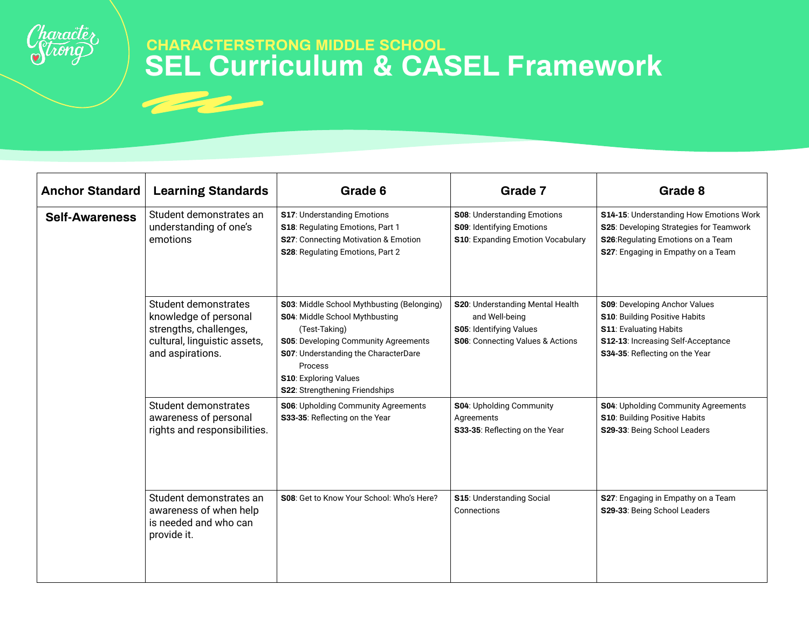

| <b>Anchor Standard</b> | <b>Learning Standards</b>                                                                                                   | Grade 6                                                                                                                                                                                                                                                    | Grade 7                                                                                                           | Grade 8                                                                                                                                                                 |
|------------------------|-----------------------------------------------------------------------------------------------------------------------------|------------------------------------------------------------------------------------------------------------------------------------------------------------------------------------------------------------------------------------------------------------|-------------------------------------------------------------------------------------------------------------------|-------------------------------------------------------------------------------------------------------------------------------------------------------------------------|
| <b>Self-Awareness</b>  | Student demonstrates an<br>understanding of one's<br>emotions                                                               | <b>S17: Understanding Emotions</b><br>S18: Regulating Emotions, Part 1<br>S27: Connecting Motivation & Emotion<br>S28: Regulating Emotions, Part 2                                                                                                         | <b>S08: Understanding Emotions</b><br>S09: Identifying Emotions<br>S10: Expanding Emotion Vocabulary              | S14-15: Understanding How Emotions Work<br>S25: Developing Strategies for Teamwork<br>S26: Regulating Emotions on a Team<br>S27: Engaging in Empathy on a Team          |
|                        | Student demonstrates<br>knowledge of personal<br>strengths, challenges,<br>cultural, linguistic assets,<br>and aspirations. | S03: Middle School Mythbusting (Belonging)<br>S04: Middle School Mythbusting<br>(Test-Taking)<br><b>S05: Developing Community Agreements</b><br>S07: Understanding the CharacterDare<br>Process<br>S10: Exploring Values<br>S22: Strengthening Friendships | S20: Understanding Mental Health<br>and Well-being<br>S05: Identifying Values<br>S06: Connecting Values & Actions | S09: Developing Anchor Values<br>S10: Building Positive Habits<br><b>S11: Evaluating Habits</b><br>S12-13: Increasing Self-Acceptance<br>S34-35: Reflecting on the Year |
|                        | Student demonstrates<br>awareness of personal<br>rights and responsibilities.                                               | S06: Upholding Community Agreements<br>S33-35: Reflecting on the Year                                                                                                                                                                                      | S04: Upholding Community<br>Agreements<br>S33-35: Reflecting on the Year                                          | S04: Upholding Community Agreements<br><b>S10: Building Positive Habits</b><br>S29-33: Being School Leaders                                                             |
|                        | Student demonstrates an<br>awareness of when help<br>is needed and who can<br>provide it.                                   | S08: Get to Know Your School: Who's Here?                                                                                                                                                                                                                  | <b>S15: Understanding Social</b><br>Connections                                                                   | S27: Engaging in Empathy on a Team<br>S29-33: Being School Leaders                                                                                                      |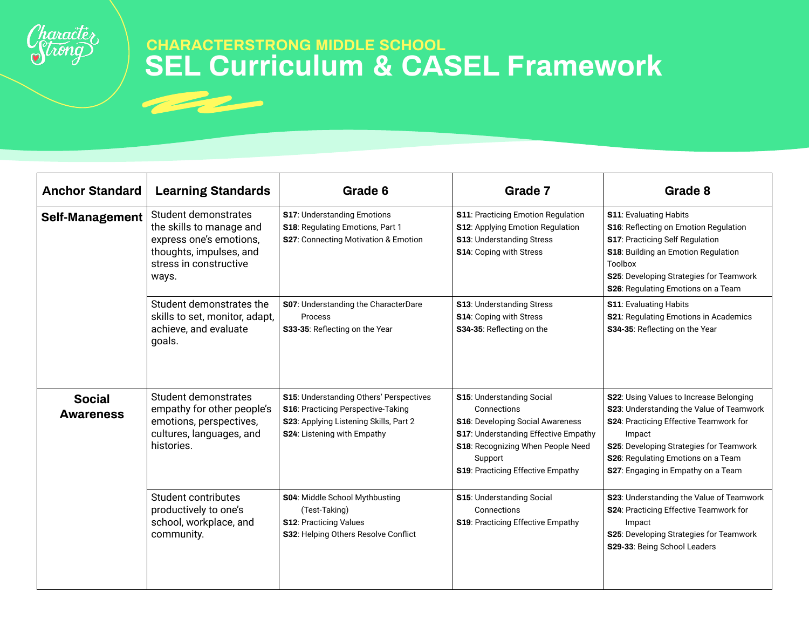

| <b>Anchor Standard</b>            | <b>Learning Standards</b>                                                                                                                 | Grade 6                                                                                                                                                | Grade 7                                                                                                                                                                                                          | Grade 8                                                                                                                                                                                                                                                        |
|-----------------------------------|-------------------------------------------------------------------------------------------------------------------------------------------|--------------------------------------------------------------------------------------------------------------------------------------------------------|------------------------------------------------------------------------------------------------------------------------------------------------------------------------------------------------------------------|----------------------------------------------------------------------------------------------------------------------------------------------------------------------------------------------------------------------------------------------------------------|
| <b>Self-Management</b>            | Student demonstrates<br>the skills to manage and<br>express one's emotions,<br>thoughts, impulses, and<br>stress in constructive<br>ways. | S17: Understanding Emotions<br>S18: Regulating Emotions, Part 1<br>S27: Connecting Motivation & Emotion                                                | S11: Practicing Emotion Regulation<br>S12: Applying Emotion Regulation<br><b>S13: Understanding Stress</b><br>S14: Coping with Stress                                                                            | <b>S11: Evaluating Habits</b><br>S16: Reflecting on Emotion Regulation<br>S17: Practicing Self Regulation<br>S18: Building an Emotion Regulation<br><b>Toolbox</b><br>S25: Developing Strategies for Teamwork<br>S26: Regulating Emotions on a Team            |
|                                   | Student demonstrates the<br>skills to set, monitor, adapt,<br>achieve, and evaluate<br>goals.                                             | S07: Understanding the CharacterDare<br>Process<br>S33-35: Reflecting on the Year                                                                      | S13: Understanding Stress<br>S14: Coping with Stress<br>S34-35: Reflecting on the                                                                                                                                | <b>S11: Evaluating Habits</b><br>S21: Regulating Emotions in Academics<br>S34-35: Reflecting on the Year                                                                                                                                                       |
| <b>Social</b><br><b>Awareness</b> | Student demonstrates<br>empathy for other people's<br>emotions, perspectives,<br>cultures, languages, and<br>histories.                   | S15: Understanding Others' Perspectives<br>S16: Practicing Perspective-Taking<br>S23: Applying Listening Skills, Part 2<br>S24: Listening with Empathy | <b>S15: Understanding Social</b><br>Connections<br>S16: Developing Social Awareness<br>S17: Understanding Effective Empathy<br>S18: Recognizing When People Need<br>Support<br>S19: Practicing Effective Empathy | S22: Using Values to Increase Belonging<br>S23: Understanding the Value of Teamwork<br>S24: Practicing Effective Teamwork for<br>Impact<br>S25: Developing Strategies for Teamwork<br>S26: Regulating Emotions on a Team<br>S27: Engaging in Empathy on a Team |
|                                   | Student contributes<br>productively to one's<br>school, workplace, and<br>community.                                                      | S04: Middle School Mythbusting<br>(Test-Taking)<br><b>S12: Practicing Values</b><br>S32: Helping Others Resolve Conflict                               | <b>S15: Understanding Social</b><br>Connections<br>S19: Practicing Effective Empathy                                                                                                                             | S23: Understanding the Value of Teamwork<br>S24: Practicing Effective Teamwork for<br>Impact<br>S25: Developing Strategies for Teamwork<br>S29-33: Being School Leaders                                                                                        |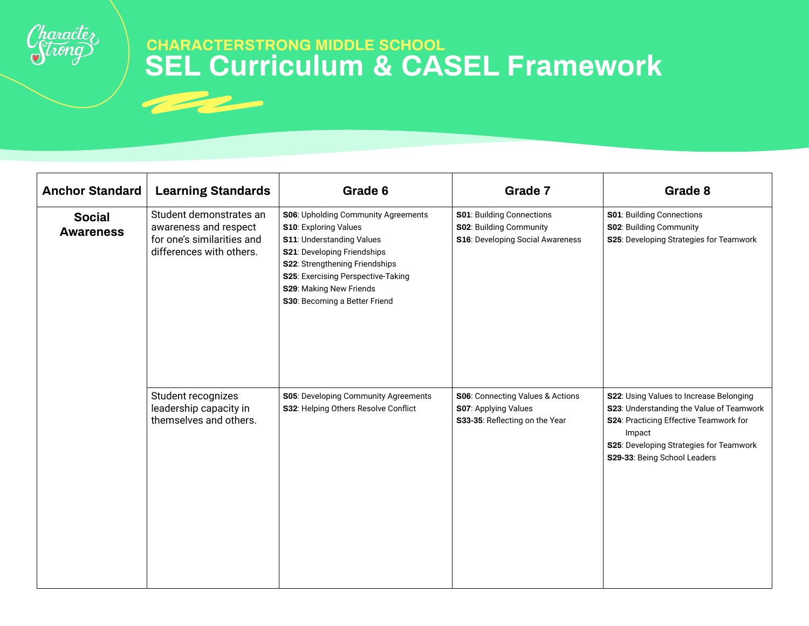

| <b>Anchor Standard</b>            | <b>Learning Standards</b>                                                                                  | Grade 6                                                                                                                                                                                                                                                                    | Grade 7                                                                                         | Grade 8                                                                                                                                                                                                            |
|-----------------------------------|------------------------------------------------------------------------------------------------------------|----------------------------------------------------------------------------------------------------------------------------------------------------------------------------------------------------------------------------------------------------------------------------|-------------------------------------------------------------------------------------------------|--------------------------------------------------------------------------------------------------------------------------------------------------------------------------------------------------------------------|
| <b>Social</b><br><b>Awareness</b> | Student demonstrates an<br>awareness and respect<br>for one's similarities and<br>differences with others. | S06: Upholding Community Agreements<br><b>S10: Exploring Values</b><br><b>S11: Understanding Values</b><br>S21: Developing Friendships<br>S22: Strengthening Friendships<br>S25: Exercising Perspective-Taking<br>S29: Making New Friends<br>S30: Becoming a Better Friend | S01: Building Connections<br><b>S02: Building Community</b><br>S16: Developing Social Awareness | S01: Building Connections<br><b>S02: Building Community</b><br>S25: Developing Strategies for Teamwork                                                                                                             |
|                                   | Student recognizes<br>leadership capacity in<br>themselves and others.                                     | S05: Developing Community Agreements<br>S32: Helping Others Resolve Conflict                                                                                                                                                                                               | S06: Connecting Values & Actions<br>S07: Applying Values<br>S33-35: Reflecting on the Year      | S22: Using Values to Increase Belonging<br>S23: Understanding the Value of Teamwork<br>S24: Practicing Effective Teamwork for<br>Impact<br>S25: Developing Strategies for Teamwork<br>S29-33: Being School Leaders |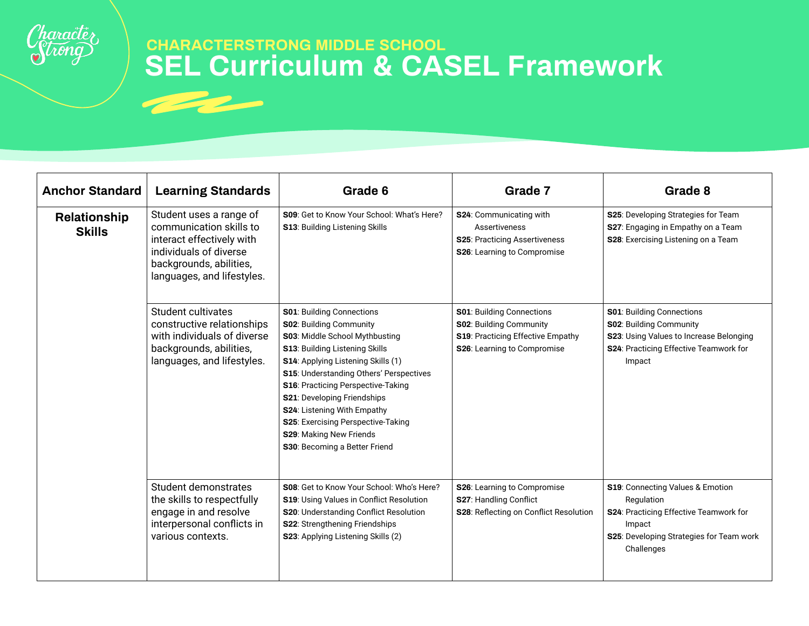

| <b>Anchor Standard</b>        | <b>Learning Standards</b>                                                                                                                                          | Grade 6                                                                                                                                                                                                                                                                                                                                                                                                                        | Grade 7                                                                                                                                | Grade 8                                                                                                                                                      |
|-------------------------------|--------------------------------------------------------------------------------------------------------------------------------------------------------------------|--------------------------------------------------------------------------------------------------------------------------------------------------------------------------------------------------------------------------------------------------------------------------------------------------------------------------------------------------------------------------------------------------------------------------------|----------------------------------------------------------------------------------------------------------------------------------------|--------------------------------------------------------------------------------------------------------------------------------------------------------------|
| Relationship<br><b>Skills</b> | Student uses a range of<br>communication skills to<br>interact effectively with<br>individuals of diverse<br>backgrounds, abilities,<br>languages, and lifestyles. | S09: Get to Know Your School: What's Here?<br><b>S13: Building Listening Skills</b>                                                                                                                                                                                                                                                                                                                                            | S24: Communicating with<br>Assertiveness<br>S25: Practicing Assertiveness<br><b>S26:</b> Learning to Compromise                        | S25: Developing Strategies for Team<br>S27: Engaging in Empathy on a Team<br>S28: Exercising Listening on a Team                                             |
|                               | Student cultivates<br>constructive relationships<br>with individuals of diverse<br>backgrounds, abilities,<br>languages, and lifestyles.                           | <b>S01</b> : Building Connections<br><b>S02: Building Community</b><br>S03: Middle School Mythbusting<br>S13: Building Listening Skills<br>S14: Applying Listening Skills (1)<br>S15: Understanding Others' Perspectives<br>S16: Practicing Perspective-Taking<br>S21: Developing Friendships<br>S24: Listening With Empathy<br>S25: Exercising Perspective-Taking<br>S29: Making New Friends<br>S30: Becoming a Better Friend | <b>S01: Building Connections</b><br><b>S02: Building Community</b><br>S19: Practicing Effective Empathy<br>S26: Learning to Compromise | S01: Building Connections<br>S02: Building Community<br>S23: Using Values to Increase Belonging<br>S24: Practicing Effective Teamwork for<br>Impact          |
|                               | Student demonstrates<br>the skills to respectfully<br>engage in and resolve<br>interpersonal conflicts in<br>various contexts.                                     | S08: Get to Know Your School: Who's Here?<br>S19: Using Values in Conflict Resolution<br>S20: Understanding Conflict Resolution<br>S22: Strengthening Friendships<br>S23: Applying Listening Skills (2)                                                                                                                                                                                                                        | S26: Learning to Compromise<br>S27: Handling Conflict<br>S28: Reflecting on Conflict Resolution                                        | S19: Connecting Values & Emotion<br>Regulation<br>S24: Practicing Effective Teamwork for<br>Impact<br>S25: Developing Strategies for Team work<br>Challenges |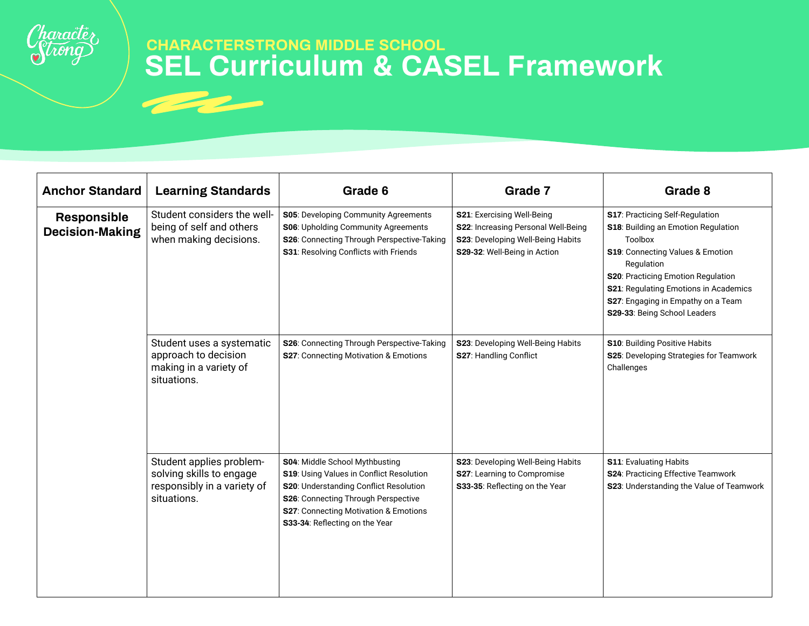

| <b>Anchor Standard</b>                       | <b>Learning Standards</b>                                                                          | Grade 6                                                                                                                                                                                                                                | Grade 7                                                                                                                                | Grade 8                                                                                                                                                                                                                                                                                  |
|----------------------------------------------|----------------------------------------------------------------------------------------------------|----------------------------------------------------------------------------------------------------------------------------------------------------------------------------------------------------------------------------------------|----------------------------------------------------------------------------------------------------------------------------------------|------------------------------------------------------------------------------------------------------------------------------------------------------------------------------------------------------------------------------------------------------------------------------------------|
| <b>Responsible</b><br><b>Decision-Making</b> | Student considers the well-<br>being of self and others<br>when making decisions.                  | S05: Developing Community Agreements<br>S06: Upholding Community Agreements<br>S26: Connecting Through Perspective-Taking<br>S31: Resolving Conflicts with Friends                                                                     | S21: Exercising Well-Being<br>S22: Increasing Personal Well-Being<br>S23: Developing Well-Being Habits<br>S29-32: Well-Being in Action | S17: Practicing Self-Regulation<br>S18: Building an Emotion Regulation<br>Toolbox<br>S19: Connecting Values & Emotion<br>Regulation<br>S20: Practicing Emotion Regulation<br>S21: Regulating Emotions in Academics<br>S27: Engaging in Empathy on a Team<br>S29-33: Being School Leaders |
|                                              | Student uses a systematic<br>approach to decision<br>making in a variety of<br>situations.         | S26: Connecting Through Perspective-Taking<br>S27: Connecting Motivation & Emotions                                                                                                                                                    | S23: Developing Well-Being Habits<br>S27: Handling Conflict                                                                            | <b>S10: Building Positive Habits</b><br>S25: Developing Strategies for Teamwork<br>Challenges                                                                                                                                                                                            |
|                                              | Student applies problem-<br>solving skills to engage<br>responsibly in a variety of<br>situations. | S04: Middle School Mythbusting<br>S19: Using Values in Conflict Resolution<br>S20: Understanding Conflict Resolution<br>S26: Connecting Through Perspective<br>S27: Connecting Motivation & Emotions<br>S33-34: Reflecting on the Year | S23: Developing Well-Being Habits<br>S27: Learning to Compromise<br>S33-35: Reflecting on the Year                                     | <b>S11: Evaluating Habits</b><br>S24: Practicing Effective Teamwork<br>S23: Understanding the Value of Teamwork                                                                                                                                                                          |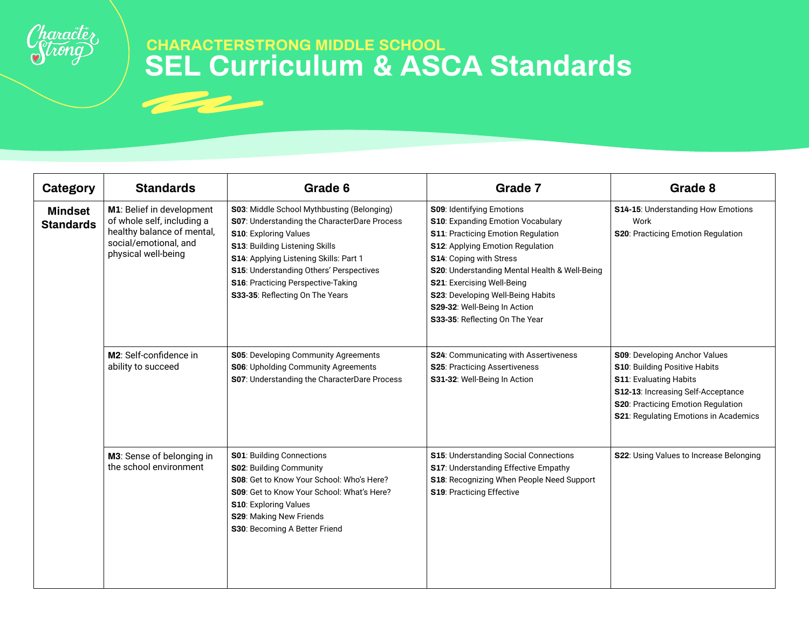

| Category                           | <b>Standards</b>                                                                                                                      | Grade 6                                                                                                                                                                                                                                                                                                                                  | Grade 7                                                                                                                                                                                                                                                                                                                                                   | Grade 8                                                                                                                                                                                                                             |
|------------------------------------|---------------------------------------------------------------------------------------------------------------------------------------|------------------------------------------------------------------------------------------------------------------------------------------------------------------------------------------------------------------------------------------------------------------------------------------------------------------------------------------|-----------------------------------------------------------------------------------------------------------------------------------------------------------------------------------------------------------------------------------------------------------------------------------------------------------------------------------------------------------|-------------------------------------------------------------------------------------------------------------------------------------------------------------------------------------------------------------------------------------|
| <b>Mindset</b><br><b>Standards</b> | M1: Belief in development<br>of whole self, including a<br>healthy balance of mental,<br>social/emotional, and<br>physical well-being | S03: Middle School Mythbusting (Belonging)<br><b>S07: Understanding the CharacterDare Process</b><br><b>S10: Exploring Values</b><br><b>S13: Building Listening Skills</b><br>S14: Applying Listening Skills: Part 1<br>S15: Understanding Others' Perspectives<br>S16: Practicing Perspective-Taking<br>S33-35: Reflecting On The Years | S09: Identifying Emotions<br>S10: Expanding Emotion Vocabulary<br>S11: Practicing Emotion Regulation<br>S12: Applying Emotion Regulation<br>S14: Coping with Stress<br>S20: Understanding Mental Health & Well-Being<br>S21: Exercising Well-Being<br>S23: Developing Well-Being Habits<br>S29-32: Well-Being In Action<br>S33-35: Reflecting On The Year | S14-15: Understanding How Emotions<br>Work<br>S20: Practicing Emotion Regulation                                                                                                                                                    |
|                                    | M2: Self-confidence in<br>ability to succeed                                                                                          | S05: Developing Community Agreements<br>S06: Upholding Community Agreements<br>S07: Understanding the CharacterDare Process                                                                                                                                                                                                              | S24: Communicating with Assertiveness<br><b>S25: Practicing Assertiveness</b><br>S31-32: Well-Being In Action                                                                                                                                                                                                                                             | <b>S09</b> : Developing Anchor Values<br><b>S10: Building Positive Habits</b><br><b>S11: Evaluating Habits</b><br>S12-13: Increasing Self-Acceptance<br>S20: Practicing Emotion Regulation<br>S21: Regulating Emotions in Academics |
|                                    | M3: Sense of belonging in<br>the school environment                                                                                   | <b>S01: Building Connections</b><br>S02: Building Community<br>S08: Get to Know Your School: Who's Here?<br><b>S09:</b> Get to Know Your School: What's Here?<br>S10: Exploring Values<br>S29: Making New Friends<br>S30: Becoming A Better Friend                                                                                       | S15: Understanding Social Connections<br>S17: Understanding Effective Empathy<br>S18: Recognizing When People Need Support<br>S19: Practicing Effective                                                                                                                                                                                                   | S22: Using Values to Increase Belonging                                                                                                                                                                                             |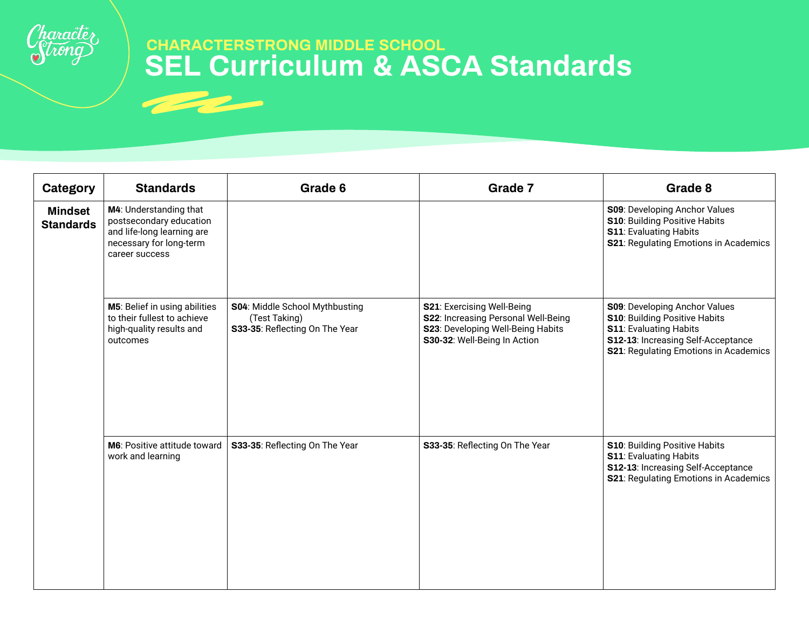

| Category                           | <b>Standards</b>                                                                                                             | Grade 6                                                                           | Grade 7                                                                                                                                | Grade 8                                                                                                                                                                                      |
|------------------------------------|------------------------------------------------------------------------------------------------------------------------------|-----------------------------------------------------------------------------------|----------------------------------------------------------------------------------------------------------------------------------------|----------------------------------------------------------------------------------------------------------------------------------------------------------------------------------------------|
| <b>Mindset</b><br><b>Standards</b> | M4: Understanding that<br>postsecondary education<br>and life-long learning are<br>necessary for long-term<br>career success |                                                                                   |                                                                                                                                        | S09: Developing Anchor Values<br>S10: Building Positive Habits<br><b>S11: Evaluating Habits</b><br>S21: Regulating Emotions in Academics                                                     |
|                                    | M5: Belief in using abilities<br>to their fullest to achieve<br>high-quality results and<br>outcomes                         | S04: Middle School Mythbusting<br>(Test Taking)<br>S33-35: Reflecting On The Year | S21: Exercising Well-Being<br>S22: Increasing Personal Well-Being<br>S23: Developing Well-Being Habits<br>S30-32: Well-Being In Action | <b>S09: Developing Anchor Values</b><br><b>S10: Building Positive Habits</b><br><b>S11: Evaluating Habits</b><br>S12-13: Increasing Self-Acceptance<br>S21: Regulating Emotions in Academics |
|                                    | <b>M6:</b> Positive attitude toward<br>work and learning                                                                     | S33-35: Reflecting On The Year                                                    | S33-35: Reflecting On The Year                                                                                                         | S10: Building Positive Habits<br><b>S11: Evaluating Habits</b><br>S12-13: Increasing Self-Acceptance<br><b>S21: Regulating Emotions in Academics</b>                                         |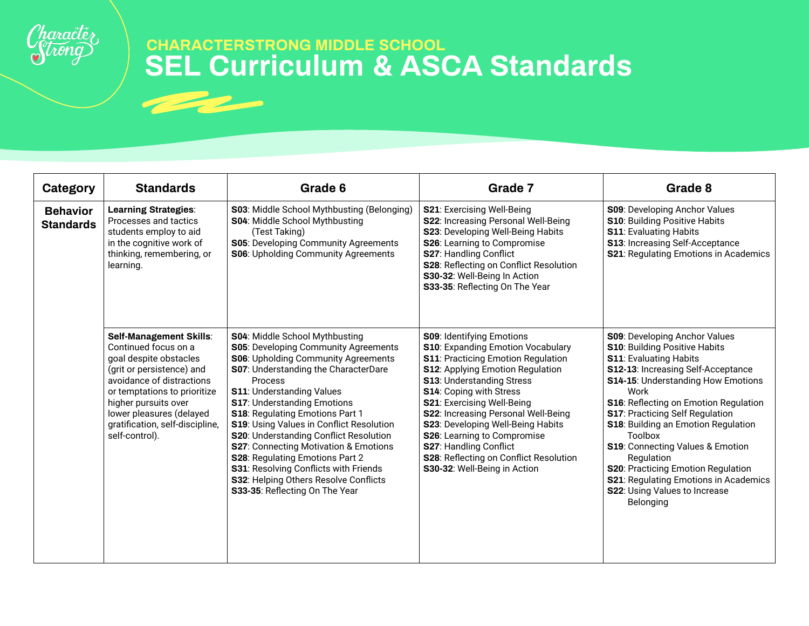

| Category                            | <b>Standards</b>                                                                                                                                                                                                                                                             | Grade 6                                                                                                                                                                                                                                                                                                                                                                                                                                                                                                                                                                           | Grade 7                                                                                                                                                                                                                                                                                                                                                                                                                                                                           | Grade 8                                                                                                                                                                                                                                                                                                                                                                                                                                                                                                                      |
|-------------------------------------|------------------------------------------------------------------------------------------------------------------------------------------------------------------------------------------------------------------------------------------------------------------------------|-----------------------------------------------------------------------------------------------------------------------------------------------------------------------------------------------------------------------------------------------------------------------------------------------------------------------------------------------------------------------------------------------------------------------------------------------------------------------------------------------------------------------------------------------------------------------------------|-----------------------------------------------------------------------------------------------------------------------------------------------------------------------------------------------------------------------------------------------------------------------------------------------------------------------------------------------------------------------------------------------------------------------------------------------------------------------------------|------------------------------------------------------------------------------------------------------------------------------------------------------------------------------------------------------------------------------------------------------------------------------------------------------------------------------------------------------------------------------------------------------------------------------------------------------------------------------------------------------------------------------|
| <b>Behavior</b><br><b>Standards</b> | <b>Learning Strategies:</b><br>Processes and tactics<br>students employ to aid<br>in the cognitive work of<br>thinking, remembering, or<br>learning.                                                                                                                         | S03: Middle School Mythbusting (Belonging)<br>S04: Middle School Mythbusting<br>(Test Taking)<br>S05: Developing Community Agreements<br><b>S06: Upholding Community Agreements</b>                                                                                                                                                                                                                                                                                                                                                                                               | S21: Exercising Well-Being<br>S22: Increasing Personal Well-Being<br>S23: Developing Well-Being Habits<br>S26: Learning to Compromise<br><b>S27: Handling Conflict</b><br>S28: Reflecting on Conflict Resolution<br>S30-32: Well-Being In Action<br>S33-35: Reflecting On The Year                                                                                                                                                                                                | <b>S09: Developing Anchor Values</b><br>S10: Building Positive Habits<br><b>S11: Evaluating Habits</b><br>S13: Increasing Self-Acceptance<br><b>S21: Regulating Emotions in Academics</b>                                                                                                                                                                                                                                                                                                                                    |
|                                     | Self-Management Skills:<br>Continued focus on a<br>goal despite obstacles<br>(grit or persistence) and<br>avoidance of distractions<br>or temptations to prioritize<br>higher pursuits over<br>lower pleasures (delayed<br>gratification, self-discipline,<br>self-control). | S04: Middle School Mythbusting<br>S05: Developing Community Agreements<br><b>S06: Upholding Community Agreements</b><br><b>S07: Understanding the CharacterDare</b><br>Process<br><b>S11: Understanding Values</b><br><b>S17: Understanding Emotions</b><br>S18: Regulating Emotions Part 1<br>S19: Using Values in Conflict Resolution<br>S20: Understanding Conflict Resolution<br>S27: Connecting Motivation & Emotions<br>S28: Regulating Emotions Part 2<br>S31: Resolving Conflicts with Friends<br>S32: Helping Others Resolve Conflicts<br>S33-35: Reflecting On The Year | <b>S09: Identifying Emotions</b><br>S10: Expanding Emotion Vocabulary<br><b>S11</b> : Practicing Emotion Regulation<br><b>S12:</b> Applying Emotion Regulation<br><b>S13: Understanding Stress</b><br><b>S14: Coping with Stress</b><br>S21: Exercising Well-Being<br>S22: Increasing Personal Well-Being<br>S23: Developing Well-Being Habits<br>S26: Learning to Compromise<br>S27: Handling Conflict<br>S28: Reflecting on Conflict Resolution<br>S30-32: Well-Being in Action | <b>S09: Developing Anchor Values</b><br>S10: Building Positive Habits<br><b>S11: Evaluating Habits</b><br>S12-13: Increasing Self-Acceptance<br>S14-15: Understanding How Emotions<br>Work<br>S16: Reflecting on Emotion Regulation<br><b>S17: Practicing Self Regulation</b><br>S18: Building an Emotion Regulation<br>Toolbox<br>S19: Connecting Values & Emotion<br>Regulation<br>S20: Practicing Emotion Regulation<br><b>S21: Regulating Emotions in Academics</b><br><b>S22: Using Values to Increase</b><br>Belonging |